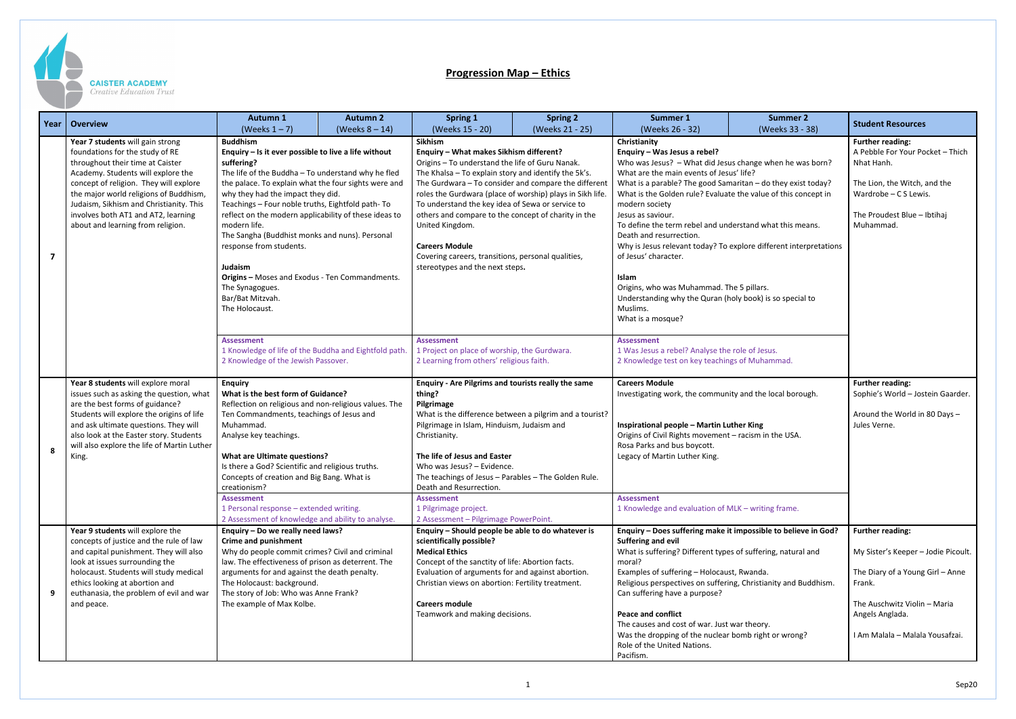

## **CAISTER ACADEMY**

Creative Education Trust

## **Progression Map – Ethics**

| Year           | Overview                                                                                                                          | <b>Autumn 1</b>                                                                                                                                                                                                                                                                                                                                                                                                                                                   | <b>Autumn 2</b> | <b>Spring 1</b>                                                                                                                                                                                                                                                                                                                                                                                                                                                                 | <b>Spring 2</b>                                     | Summer 1                                                                                                                                                             | <b>Summer 2</b>                                                                   | <b>Student Resources</b>                                    |
|----------------|-----------------------------------------------------------------------------------------------------------------------------------|-------------------------------------------------------------------------------------------------------------------------------------------------------------------------------------------------------------------------------------------------------------------------------------------------------------------------------------------------------------------------------------------------------------------------------------------------------------------|-----------------|---------------------------------------------------------------------------------------------------------------------------------------------------------------------------------------------------------------------------------------------------------------------------------------------------------------------------------------------------------------------------------------------------------------------------------------------------------------------------------|-----------------------------------------------------|----------------------------------------------------------------------------------------------------------------------------------------------------------------------|-----------------------------------------------------------------------------------|-------------------------------------------------------------|
|                | Year 7 students will gain strong<br>foundations for the study of RE                                                               | (Weeks $1 - 7$ )<br>(Weeks $8 - 14$ )<br><b>Buddhism</b><br>Enquiry - Is it ever possible to live a life without<br>suffering?<br>The life of the Buddha - To understand why he fled<br>the palace. To explain what the four sights were and<br>why they had the impact they did.<br>Teachings - Four noble truths, Eightfold path- To<br>reflect on the modern applicability of these ideas to<br>modern life.<br>The Sangha (Buddhist monks and nuns). Personal |                 | (Weeks 15 - 20)<br>(Weeks 21 - 25)<br>Sikhism<br>Enquiry - What makes Sikhism different?<br>Origins - To understand the life of Guru Nanak.<br>The Khalsa - To explain story and identify the 5k's.<br>The Gurdwara - To consider and compare the different<br>roles the Gurdwara (place of worship) plays in Sikh life.<br>To understand the key idea of Sewa or service to<br>others and compare to the concept of charity in the<br>United Kingdom.<br><b>Careers Module</b> |                                                     | (Weeks 26 - 32)<br>Christianity<br>Enquiry - Was Jesus a rebel?                                                                                                      | (Weeks 33 - 38)                                                                   | <b>Further reading:</b><br>A Pebble For Your Pocket - Thich |
|                | throughout their time at Caister<br>Academy. Students will explore the<br>concept of religion. They will explore                  |                                                                                                                                                                                                                                                                                                                                                                                                                                                                   |                 |                                                                                                                                                                                                                                                                                                                                                                                                                                                                                 |                                                     | Who was Jesus? - What did Jesus change when he was born?<br>What are the main events of Jesus' life?<br>What is a parable? The good Samaritan - do they exist today? |                                                                                   | Nhat Hanh<br>The Lion, the Witch, and the                   |
|                | the major world religions of Buddhism,<br>Judaism, Sikhism and Christianity. This<br>involves both AT1 and AT2, learning          |                                                                                                                                                                                                                                                                                                                                                                                                                                                                   |                 |                                                                                                                                                                                                                                                                                                                                                                                                                                                                                 |                                                     | What is the Golden rule? Evaluate the value of this concept in<br>modern society<br>Jesus as saviour.                                                                |                                                                                   | Wardrobe - C S Lewis.<br>The Proudest Blue - Ibtihaj        |
|                | about and learning from religion.                                                                                                 |                                                                                                                                                                                                                                                                                                                                                                                                                                                                   |                 |                                                                                                                                                                                                                                                                                                                                                                                                                                                                                 |                                                     | To define the term rebel and understand what this means.<br>Death and resurrection.                                                                                  |                                                                                   | Muhammad.                                                   |
| $\overline{7}$ |                                                                                                                                   | response from students.<br>Judaism                                                                                                                                                                                                                                                                                                                                                                                                                                |                 | Covering careers, transitions, personal qualities,<br>stereotypes and the next steps.                                                                                                                                                                                                                                                                                                                                                                                           |                                                     | of Jesus' character.                                                                                                                                                 | Why is Jesus relevant today? To explore different interpretations                 |                                                             |
|                |                                                                                                                                   | Origins - Moses and Exodus - Ten Commandments.<br>The Synagogues.<br>Bar/Bat Mitzvah.<br>The Holocaust.                                                                                                                                                                                                                                                                                                                                                           |                 |                                                                                                                                                                                                                                                                                                                                                                                                                                                                                 |                                                     | Islam<br>Origins, who was Muhammad. The 5 pillars.<br>Understanding why the Quran (holy book) is so special to<br>Muslims.                                           |                                                                                   |                                                             |
|                |                                                                                                                                   | <b>Assessment</b>                                                                                                                                                                                                                                                                                                                                                                                                                                                 |                 | <b>Assessment</b>                                                                                                                                                                                                                                                                                                                                                                                                                                                               |                                                     | What is a mosque?<br><b>Assessment</b>                                                                                                                               |                                                                                   |                                                             |
|                |                                                                                                                                   | 1 Knowledge of life of the Buddha and Eightfold path.<br>2 Knowledge of the Jewish Passover.                                                                                                                                                                                                                                                                                                                                                                      |                 | 1 Project on place of worship, the Gurdwara.<br>2 Learning from others' religious faith.                                                                                                                                                                                                                                                                                                                                                                                        |                                                     | 1 Was Jesus a rebel? Analyse the role of Jesus.<br>2 Knowledge test on key teachings of Muhammad.                                                                    |                                                                                   |                                                             |
|                | Year 8 students will explore moral<br>issues such as asking the question, what<br>are the best forms of guidance?                 | <b>Enquiry</b><br>What is the best form of Guidance?<br>Reflection on religious and non-religious values. The<br>Ten Commandments, teachings of Jesus and<br>Muhammad.                                                                                                                                                                                                                                                                                            |                 | thing?<br>Pilgrimage                                                                                                                                                                                                                                                                                                                                                                                                                                                            | Enquiry - Are Pilgrims and tourists really the same |                                                                                                                                                                      | <b>Careers Module</b><br>Investigating work, the community and the local borough. |                                                             |
|                | Students will explore the origins of life<br>and ask ultimate questions. They will                                                |                                                                                                                                                                                                                                                                                                                                                                                                                                                                   |                 | What is the difference between a pilgrim and a tourist?<br>Pilgrimage in Islam, Hinduism, Judaism and                                                                                                                                                                                                                                                                                                                                                                           |                                                     | <b>Inspirational people - Martin Luther King</b>                                                                                                                     |                                                                                   | Around the World in 80 Days -<br>Jules Verne.               |
|                | also look at the Easter story. Students<br>will also explore the life of Martin Luther<br>King.                                   | Analyse key teachings.<br><b>What are Ultimate questions?</b>                                                                                                                                                                                                                                                                                                                                                                                                     |                 | Christianity.<br>The life of Jesus and Easter                                                                                                                                                                                                                                                                                                                                                                                                                                   |                                                     | Origins of Civil Rights movement - racism in the USA.<br>Rosa Parks and bus boycott.<br>Legacy of Martin Luther King.                                                |                                                                                   |                                                             |
|                |                                                                                                                                   | Is there a God? Scientific and religious truths.<br>Concepts of creation and Big Bang. What is<br>creationism?                                                                                                                                                                                                                                                                                                                                                    |                 | Who was Jesus? - Evidence.<br>The teachings of Jesus - Parables - The Golden Rule.<br>Death and Resurrection.                                                                                                                                                                                                                                                                                                                                                                   |                                                     |                                                                                                                                                                      |                                                                                   |                                                             |
|                |                                                                                                                                   | <b>Assessment</b><br>1 Personal response - extended writing.<br>2 Assessment of knowledge and ability to analyse.                                                                                                                                                                                                                                                                                                                                                 |                 | <b>Assessment</b><br>1 Pilgrimage project.<br>2 Assessment - Pilgrimage PowerPoint.                                                                                                                                                                                                                                                                                                                                                                                             |                                                     | <b>Assessment</b><br>1 Knowledge and evaluation of MLK - writing frame.                                                                                              |                                                                                   |                                                             |
| 9              | Year 9 students will explore the<br>concepts of justice and the rule of law                                                       | Enquiry - Do we really need laws?<br><b>Crime and punishment</b>                                                                                                                                                                                                                                                                                                                                                                                                  |                 | Enquiry - Should people be able to do whatever is<br>scientifically possible?                                                                                                                                                                                                                                                                                                                                                                                                   |                                                     | Suffering and evil                                                                                                                                                   | Enquiry - Does suffering make it impossible to believe in God?                    | <b>Further reading:</b>                                     |
|                | and capital punishment. They will also<br>look at issues surrounding the                                                          | Why do people commit crimes? Civil and criminal<br>law. The effectiveness of prison as deterrent. The                                                                                                                                                                                                                                                                                                                                                             |                 | <b>Medical Ethics</b><br>Concept of the sanctity of life: Abortion facts.                                                                                                                                                                                                                                                                                                                                                                                                       |                                                     | What is suffering? Different types of suffering, natural and<br>moral?                                                                                               |                                                                                   | My Sister's Keeper - Jodie Picoult.                         |
|                | holocaust. Students will study medical<br>ethics looking at abortion and<br>euthanasia, the problem of evil and war<br>and peace. | arguments for and against the death penalty.<br>The Holocaust: background.<br>The story of Job: Who was Anne Frank?                                                                                                                                                                                                                                                                                                                                               |                 | Evaluation of arguments for and against abortion.<br>Christian views on abortion: Fertility treatment.                                                                                                                                                                                                                                                                                                                                                                          |                                                     | Examples of suffering - Holocaust, Rwanda.<br>Religious perspectives on suffering, Christianity and Buddhism.<br>Can suffering have a purpose?                       |                                                                                   | The Diary of a Young Girl - Anne<br>Frank.                  |
|                |                                                                                                                                   | The example of Max Kolbe.                                                                                                                                                                                                                                                                                                                                                                                                                                         |                 | <b>Careers module</b><br>Teamwork and making decisions.                                                                                                                                                                                                                                                                                                                                                                                                                         |                                                     | <b>Peace and conflict</b>                                                                                                                                            |                                                                                   | The Auschwitz Violin - Maria<br>Angels Anglada.             |
|                |                                                                                                                                   |                                                                                                                                                                                                                                                                                                                                                                                                                                                                   |                 |                                                                                                                                                                                                                                                                                                                                                                                                                                                                                 |                                                     | The causes and cost of war. Just war theory.<br>Was the dropping of the nuclear bomb right or wrong?<br>Role of the United Nations.<br>Pacifism.                     |                                                                                   | I Am Malala - Malala Yousafzai.                             |